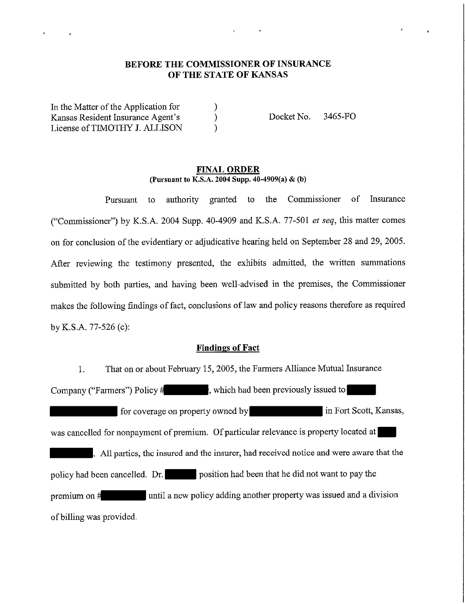# **BEFORE THE COMMISSIONER OF INSURANCE OF THE STATE OF KANSAS**

) ) )

In the Matter of the Application for Kansas Resident Insurance Agent's License of TIMOTHY J. ALLISON

Docket No. 3465-FO

#### **FINAL ORDER (Pursuant to K.S.A. 2004 Supp. 40-4909(a) & (b)**

Pursuant to authority granted to the Commissioner of Insurance ("Conunissioner") by K.S.A. 2004 Supp. 40-4909 and K.S.A. 77-501 *et seq,* this matter comes on for conclusion of the evidentiary or adjudicative hearing held on September 28 and 29, 2005. After reviewing the testimony presented, the exhibits admitted, the written summations submitted by both parties, and having been well-advised in the premises, the Commissioner makes the following findings of fact, conclusions of law and policy reasons therefore as required by K.S.A. 77-526 (c):

### **Findings of Fact**

1. That on or about February 15, 2005, the Farmers Alliance Mutual Insurance Company ("Farmers") Policy  $\sharp$  , which had been previously issued to for coverage on property owned by in Fort Scott, Kansas, was cancelled for nonpayment of premium. Of particular relevance is property located at . All parties, the insured and the insurer, had received notice and were aware that the policy had been cancelled. Dr. position had been that he did not want to pay the premium on # until a new policy adding another property was issued and a division of billing was provided.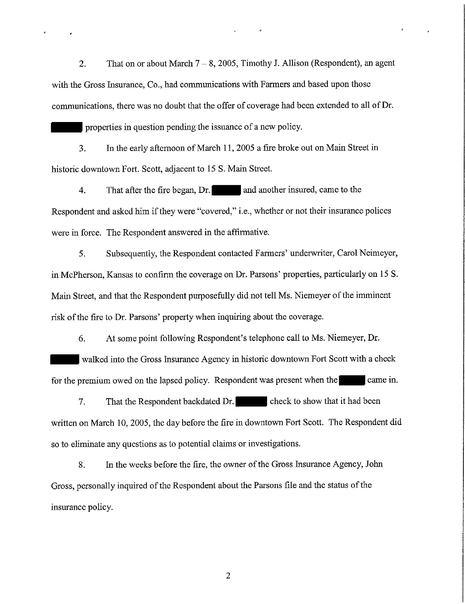2. That on or about March  $7 - 8$ , 2005, Timothy J. Allison (Respondent), an agent with the Gross Insurance, Co., had communications with Farmers and based upon those commuuications, there was no doubt that the offer of coverage had been extended to all of Dr.

properties in question pending the issuance of a new policy.

3. In the early afternoon of March 11, 2005 a fire broke out on Main Street in historic downtown Fort. Scott, adjacent to 15 S. Main Street.

4. That after the fire began, Dr. and another insured, came to the Respondent and asked him if they were "covered," i.e., whether or not their insurance polices were in force. The Respondent answered in the affirmative.

5. Subsequently, the Respondent contacted Farmers' underwriter, Carol Neimeyer, in McPherson, Kansas to confirm the coverage on Dr. Parsons' properties, particularly on 15 S. Main Street, and that the Respondent purposefully did not tell Ms. Niemeyer of the imminent risk of the fire to Dr. Parsons' property when inquiring about the coverage.

6. At some point following Respondent's telephone call to Ms. Niemeyer, Dr.

walked into the Gross Insurance Agency in historic downtown Fort Scott with a check for the premium owed on the lapsed policy. Respondent was present when the came in.

7. That the Respondent backdated Dr. check to show that it had been written on March 10, 2005, the day before the fire in downtown Fort Scott. The Respondent did so to eliminate any questions as to potential claims or investigations.

8. In the weeks before the fire, the owner of the Gross Insurance Agency, John Gross, personally inquired of the Respondent about the Parsons file and the status of the insurance policy.

2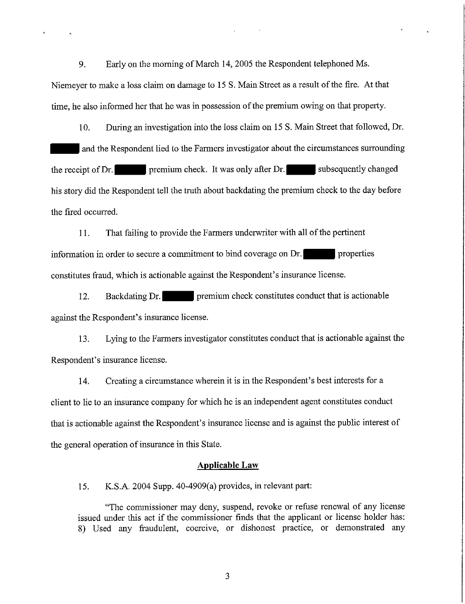9. Early on the morning of March 14, 2005 the Respondent telephoned Ms. Niemeyer to make a loss claim on damage to 15 S. Main Street as a result of the fire. At that time, he also informed her that he was in possession of the premium owing on that property.

10. During an investigation into the loss claim on 15 S. Main Street that followed, Dr. and the Respondent lied to the Farmers investigator about the circumstances surrounding the receipt of Dr. **premium check.** It was only after Dr. **provides** subsequently changed his story did the Respondent tell the truth about backdating the premium check to the day before the fired occurred.

11. That failing to provide the Farmers underwriter with all of the pertinent information in order to secure a commitment to bind coverage on Dr. constitutes fraud, which is actionable against the Respondent's insurance license.

12. Backdating Dr. premium check constitutes conduct that is actionable against the Respondent's insurance license.

13. Lying to the Farmers investigator constitutes conduct that is actionable against the Respondent's insurance license.

14. Creating a circumstance wherein it is in the Respondent's best interests for a client to lie to an insurance company for which he is an independent agent constitutes conduct that is actionable against the Respondent's insurance license and is against the public interest of the general operation of insurance in this State.

## **Applicable Law**

15. K.S.A. 2004 Supp. 40-4909(a) provides, in relevant part:

"The commissioner may deny, suspend, revoke or refuse renewal of any license issued under this act if the commissioner finds that the applicant or license holder has: 8) Used any fraudulent, coercive, or dishonest practice, or demonstrated any

3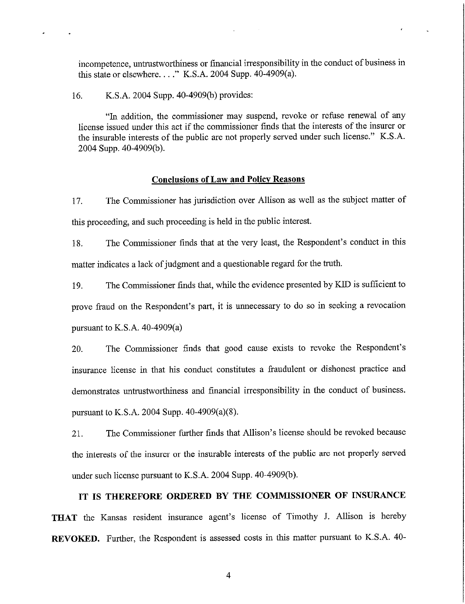incompetence, untrustworthiness or financial irresponsibility in the conduct of business in this state or elsewhere...."  $K.S.A. 2004$  Supp.  $40-4909(a)$ .

16. K.S.A. 2004 Supp. 40-4909(b) provides:

"In addition, the commissioner may suspend, revoke or refuse renewal of any license issued under this act if the commissioner finds that the interests of the insurer or the insurable interests of the public are not properly served under such license." K.S.A. 2004 Supp. 40-4909(b).

#### **Conclusions of Law and Policy Reasons**

17. The Commissioner has jurisdiction over Allison as well as the subject matter of this proceeding, and such proceeding is held in the public interest.

18. The Commissioner finds that at the very least, the Respondent's conduct in this matter indicates a lack of judgment and a questionable regard for the truth.

19. The Commissioner finds that, while the evidence presented by KID is sufficient to prove fraud on the Respondent's part, it is unnecessary to do so in seeking a revocation pursuant to K.S.A. 40-4909(a)

20. The Commissioner finds that good cause exists to revoke the Respondent's insurance license in that his conduct constitutes a fraudulent or dishonest practice and demonstrates untrustworthiness and financial irresponsibility in the conduct of business. pursuant to K.S.A. 2004 Supp. 40-4909(a)(8).

21. The Commissioner further finds that Allison's license should be revoked because the interests of the insurer or the insurable interests of the public are not properly served under such license pursuant to K.S.A. 2004 Supp. 40-4909(b).

# **IT IS THEREFORE ORDERED BY THE COMMISSIONER OF INSURANCE**

**THAT** the Kansas resident insurance agent's license of Timothy J. Allison is hereby **REVOKED.** Further, the Respondent is assessed costs in this matter pursuant to K.S.A. 40-

4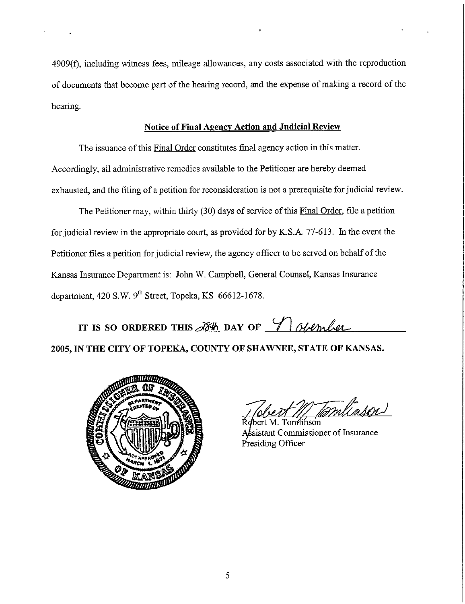4909(f), including witness fees, mileage allowances, any costs associated with the reproduction of documents that become part of the hearing record, and the expense of making a record of the hearing.

## **Notice of Final Agency Action and Judicial Review**

The issuance of this Final Order constitutes fmal agency action in this matter. Accordingly, all administrative remedies available to the Petitioner are hereby deemed exhausted, and the filing of a petition for reconsideration is not a prerequisite for judicial review.

The Petitioner may, within thirty (30) days of service of this Final Order, file a petition for judicial review in the appropriate court, as provided for by K.S.A. 77-613. In the event the Petitioner files a petition for judicial review, the agency officer to be served on behalf of the Kansas Insurance Department is: John W. Campbell, General Counsel, Kansas Insurance department, 420 S.W. 9<sup>th</sup> Street, Topeka, KS 66612-1678.

IT IS SO ORDERED THIS  $\frac{\partial 84}{\partial 4}$  DAY OF  $\frac{4}{\sqrt{}}$  obtainable

**2005, IN THE CITY OF TOPEKA, COUNTY OF SHAWNEE, STATE OF KANSAS.** 



M Tamlinson

bert M. Tomlinson sistant Commissioner of Insurance Presiding Officer